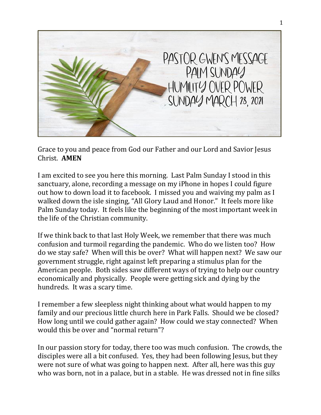

Grace to you and peace from God our Father and our Lord and Savior Jesus Christ. **AMEN**

I am excited to see you here this morning. Last Palm Sunday I stood in this sanctuary, alone, recording a message on my iPhone in hopes I could figure out how to down load it to facebook. I missed you and waiving my palm as I walked down the isle singing, "All Glory Laud and Honor." It feels more like Palm Sunday today. It feels like the beginning of the most important week in the life of the Christian community.

If we think back to that last Holy Week, we remember that there was much confusion and turmoil regarding the pandemic. Who do we listen too? How do we stay safe? When will this be over? What will happen next? We saw our government struggle, right against left preparing a stimulus plan for the American people. Both sides saw different ways of trying to help our country economically and physically. People were getting sick and dying by the hundreds. It was a scary time.

I remember a few sleepless night thinking about what would happen to my family and our precious little church here in Park Falls. Should we be closed? How long until we could gather again? How could we stay connected? When would this be over and "normal return"?

In our passion story for today, there too was much confusion. The crowds, the disciples were all a bit confused. Yes, they had been following Jesus, but they were not sure of what was going to happen next. After all, here was this guy who was born, not in a palace, but in a stable. He was dressed not in fine silks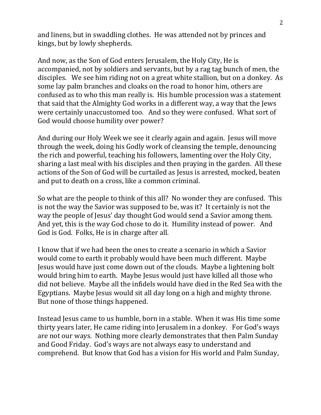and linens, but in swaddling clothes. He was attended not by princes and kings, but by lowly shepherds.

And now, as the Son of God enters Jerusalem, the Holy City, He is accompanied, not by soldiers and servants, but by a rag tag bunch of men, the disciples. We see him riding not on a great white stallion, but on a donkey. As some lay palm branches and cloaks on the road to honor him, others are confused as to who this man really is. His humble procession was a statement that said that the Almighty God works in a different way, a way that the Jews were certainly unaccustomed too. And so they were confused. What sort of God would choose humility over power?

And during our Holy Week we see it clearly again and again. Jesus will move through the week, doing his Godly work of cleansing the temple, denouncing the rich and powerful, teaching his followers, lamenting over the Holy City, sharing a last meal with his disciples and then praying in the garden. All these actions of the Son of God will be curtailed as Jesus is arrested, mocked, beaten and put to death on a cross, like a common criminal.

So what are the people to think of this all? No wonder they are confused. This is not the way the Savior was supposed to be, was it? It certainly is not the way the people of Jesus' day thought God would send a Savior among them. And yet, this is the way God chose to do it. Humility instead of power. And God is God. Folks, He is in charge after all.

I know that if we had been the ones to create a scenario in which a Savior would come to earth it probably would have been much different. Maybe Jesus would have just come down out of the clouds. Maybe a lightening bolt would bring him to earth. Maybe Jesus would just have killed all those who did not believe. Maybe all the infidels would have died in the Red Sea with the Egyptians. Maybe Jesus would sit all day long on a high and mighty throne. But none of those things happened.

Instead Jesus came to us humble, born in a stable. When it was His time some thirty years later, He came riding into Jerusalem in a donkey. For God's ways are not our ways. Nothing more clearly demonstrates that then Palm Sunday and Good Friday. God's ways are not always easy to understand and comprehend. But know that God has a vision for His world and Palm Sunday,